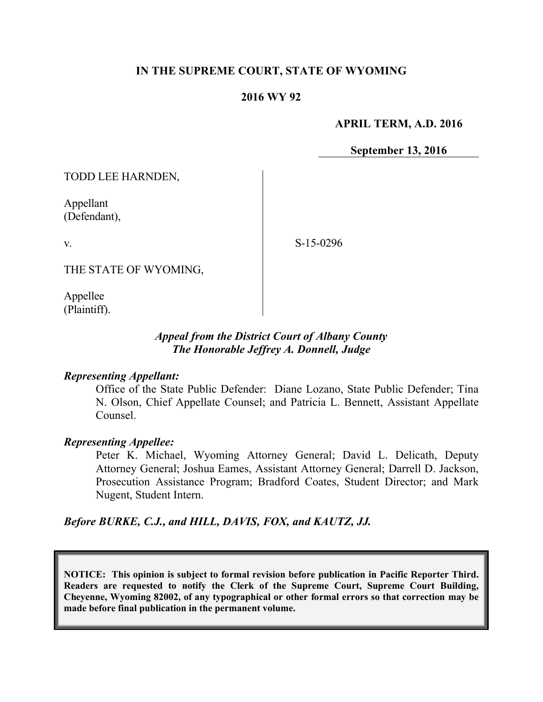# **IN THE SUPREME COURT, STATE OF WYOMING**

### **2016 WY 92**

### **APRIL TERM, A.D. 2016**

**September 13, 2016**

TODD LEE HARNDEN,

Appellant (Defendant),

v.

S-15-0296

THE STATE OF WYOMING,

Appellee (Plaintiff).

# *Appeal from the District Court of Albany County The Honorable Jeffrey A. Donnell, Judge*

#### *Representing Appellant:*

Office of the State Public Defender: Diane Lozano, State Public Defender; Tina N. Olson, Chief Appellate Counsel; and Patricia L. Bennett, Assistant Appellate Counsel.

#### *Representing Appellee:*

Peter K. Michael, Wyoming Attorney General; David L. Delicath, Deputy Attorney General; Joshua Eames, Assistant Attorney General; Darrell D. Jackson, Prosecution Assistance Program; Bradford Coates, Student Director; and Mark Nugent, Student Intern.

*Before BURKE, C.J., and HILL, DAVIS, FOX, and KAUTZ, JJ.*

**NOTICE: This opinion is subject to formal revision before publication in Pacific Reporter Third. Readers are requested to notify the Clerk of the Supreme Court, Supreme Court Building, Cheyenne, Wyoming 82002, of any typographical or other formal errors so that correction may be made before final publication in the permanent volume.**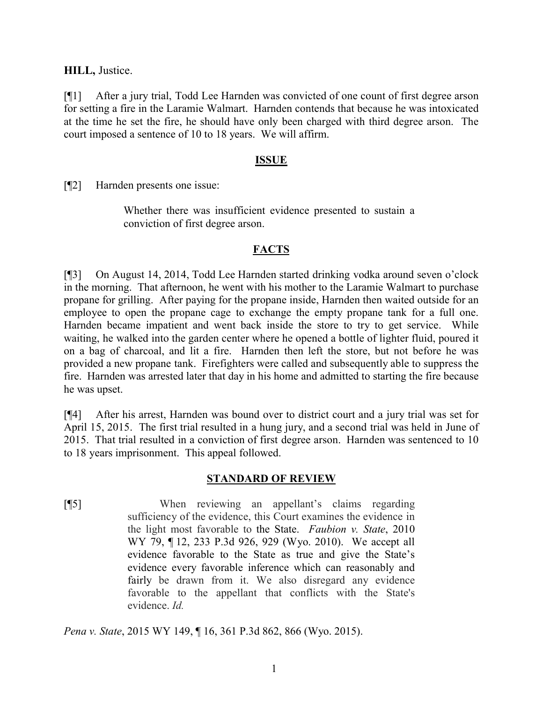**HILL,** Justice.

[¶1] After a jury trial, Todd Lee Harnden was convicted of one count of first degree arson for setting a fire in the Laramie Walmart. Harnden contends that because he was intoxicated at the time he set the fire, he should have only been charged with third degree arson. The court imposed a sentence of 10 to 18 years. We will affirm.

### **ISSUE**

[¶2] Harnden presents one issue:

Whether there was insufficient evidence presented to sustain a conviction of first degree arson.

## **FACTS**

[¶3] On August 14, 2014, Todd Lee Harnden started drinking vodka around seven o'clock in the morning. That afternoon, he went with his mother to the Laramie Walmart to purchase propane for grilling. After paying for the propane inside, Harnden then waited outside for an employee to open the propane cage to exchange the empty propane tank for a full one. Harnden became impatient and went back inside the store to try to get service. While waiting, he walked into the garden center where he opened a bottle of lighter fluid, poured it on a bag of charcoal, and lit a fire. Harnden then left the store, but not before he was provided a new propane tank. Firefighters were called and subsequently able to suppress the fire. Harnden was arrested later that day in his home and admitted to starting the fire because he was upset.

[¶4] After his arrest, Harnden was bound over to district court and a jury trial was set for April 15, 2015. The first trial resulted in a hung jury, and a second trial was held in June of 2015. That trial resulted in a conviction of first degree arson. Harnden was sentenced to 10 to 18 years imprisonment. This appeal followed.

### **STANDARD OF REVIEW**

[¶5] When reviewing an appellant's claims regarding sufficiency of the evidence, this Court examines the evidence in the light most favorable to the State. *Faubion v. State*, 2010 WY 79, ¶ 12, 233 P.3d 926, 929 (Wyo. 2010). We accept all evidence favorable to the State as true and give the State's evidence every favorable inference which can reasonably and fairly be drawn from it. We also disregard any evidence favorable to the appellant that conflicts with the State's evidence. *Id.*

*Pena v. State*, 2015 WY 149, ¶ 16, 361 P.3d 862, 866 (Wyo. 2015).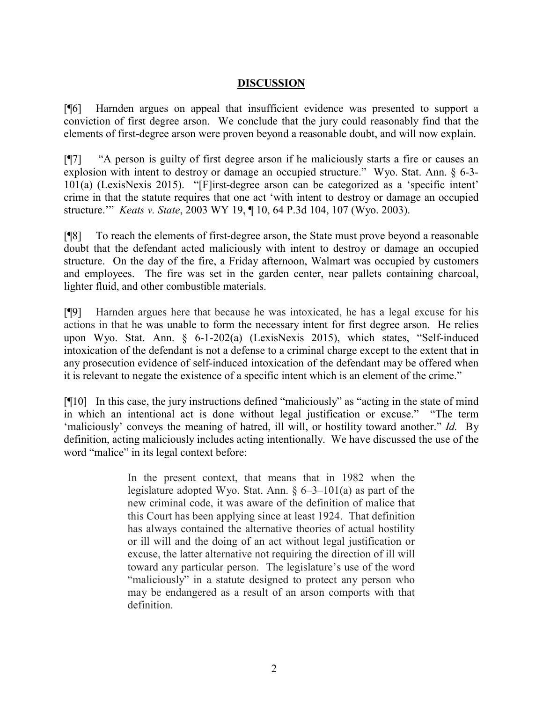## **DISCUSSION**

[¶6] Harnden argues on appeal that insufficient evidence was presented to support a conviction of first degree arson. We conclude that the jury could reasonably find that the elements of first-degree arson were proven beyond a reasonable doubt, and will now explain.

[¶7] "A person is guilty of first degree arson if he maliciously starts a fire or causes an explosion with intent to destroy or damage an occupied structure." Wyo. Stat. Ann. § 6-3- 101(a) (LexisNexis 2015). "[F]irst-degree arson can be categorized as a 'specific intent' crime in that the statute requires that one act 'with intent to destroy or damage an occupied structure.'" *Keats v. State*, 2003 WY 19, ¶ 10, 64 P.3d 104, 107 (Wyo. 2003).

[¶8] To reach the elements of first-degree arson, the State must prove beyond a reasonable doubt that the defendant acted maliciously with intent to destroy or damage an occupied structure. On the day of the fire, a Friday afternoon, Walmart was occupied by customers and employees. The fire was set in the garden center, near pallets containing charcoal, lighter fluid, and other combustible materials.

[¶9] Harnden argues here that because he was intoxicated, he has a legal excuse for his actions in that he was unable to form the necessary intent for first degree arson. He relies upon Wyo. Stat. Ann. § 6-1-202(a) (LexisNexis 2015), which states, "Self-induced intoxication of the defendant is not a defense to a criminal charge except to the extent that in any prosecution evidence of self-induced intoxication of the defendant may be offered when it is relevant to negate the existence of a specific intent which is an element of the crime."

[¶10] In this case, the jury instructions defined "maliciously" as "acting in the state of mind in which an intentional act is done without legal justification or excuse." "The term 'maliciously' conveys the meaning of hatred, ill will, or hostility toward another." *Id.* By definition, acting maliciously includes acting intentionally. We have discussed the use of the word "malice" in its legal context before:

> In the present context, that means that in 1982 when the legislature adopted Wyo. Stat. Ann.  $\S 6-3-101(a)$  as part of the new criminal code, it was aware of the definition of malice that this Court has been applying since at least 1924. That definition has always contained the alternative theories of actual hostility or ill will and the doing of an act without legal justification or excuse, the latter alternative not requiring the direction of ill will toward any particular person. The legislature's use of the word "maliciously" in a statute designed to protect any person who may be endangered as a result of an arson comports with that definition.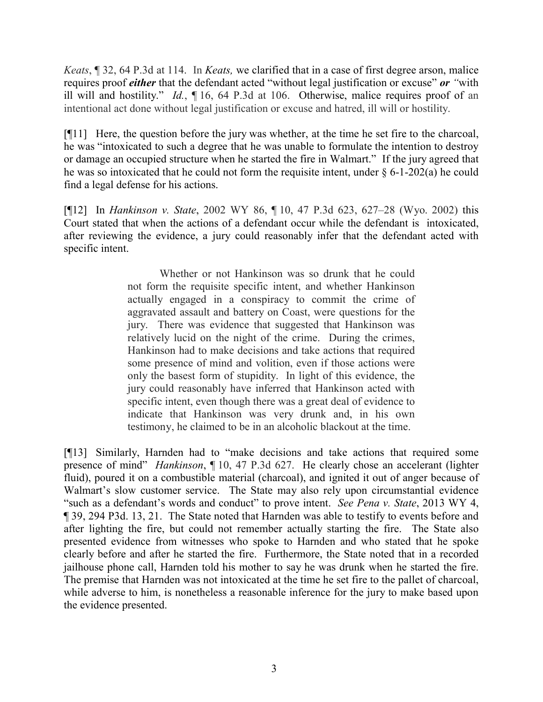*Keats*, ¶ 32, 64 P.3d at 114. In *Keats,* we clarified that in a case of first degree arson, malice requires proof *either* that the defendant acted "without legal justification or excuse" *or "*with ill will and hostility." *Id.*, ¶ 16, 64 P.3d at 106. Otherwise, malice requires proof of an intentional act done without legal justification or excuse and hatred, ill will or hostility.

[¶11] Here, the question before the jury was whether, at the time he set fire to the charcoal, he was "intoxicated to such a degree that he was unable to formulate the intention to destroy or damage an occupied structure when he started the fire in Walmart." If the jury agreed that he was so intoxicated that he could not form the requisite intent, under  $\S 6$ -1-202(a) he could find a legal defense for his actions.

[¶12] In *Hankinson v. State*, 2002 WY 86, ¶ 10, 47 P.3d 623, 627–28 (Wyo. 2002) this Court stated that when the actions of a defendant occur while the defendant is intoxicated, after reviewing the evidence, a jury could reasonably infer that the defendant acted with specific intent.

> Whether or not Hankinson was so drunk that he could not form the requisite specific intent, and whether Hankinson actually engaged in a conspiracy to commit the crime of aggravated assault and battery on Coast, were questions for the jury. There was evidence that suggested that Hankinson was relatively lucid on the night of the crime. During the crimes, Hankinson had to make decisions and take actions that required some presence of mind and volition, even if those actions were only the basest form of stupidity. In light of this evidence, the jury could reasonably have inferred that Hankinson acted with specific intent, even though there was a great deal of evidence to indicate that Hankinson was very drunk and, in his own testimony, he claimed to be in an alcoholic blackout at the time.

[¶13] Similarly, Harnden had to "make decisions and take actions that required some presence of mind" *Hankinson*, ¶ 10, 47 P.3d 627. He clearly chose an accelerant (lighter fluid), poured it on a combustible material (charcoal), and ignited it out of anger because of Walmart's slow customer service. The State may also rely upon circumstantial evidence "such as a defendant's words and conduct" to prove intent. *See Pena v. State*, 2013 WY 4, ¶ 39, 294 P3d. 13, 21. The State noted that Harnden was able to testify to events before and after lighting the fire, but could not remember actually starting the fire. The State also presented evidence from witnesses who spoke to Harnden and who stated that he spoke clearly before and after he started the fire. Furthermore, the State noted that in a recorded jailhouse phone call, Harnden told his mother to say he was drunk when he started the fire. The premise that Harnden was not intoxicated at the time he set fire to the pallet of charcoal, while adverse to him, is nonetheless a reasonable inference for the jury to make based upon the evidence presented.